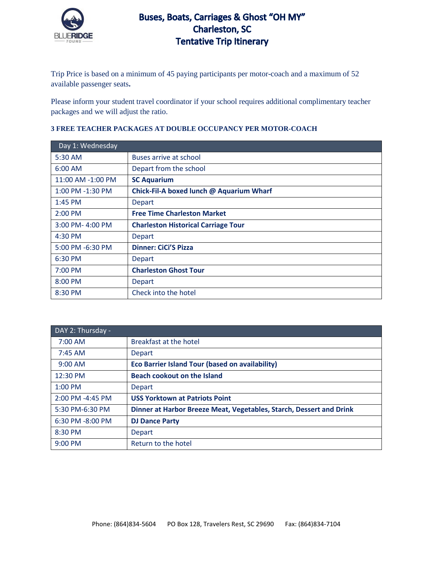

## Buses, Boats, Carriages & Ghost "OH MY" **Charleston, SC Tentative Trip Itinerary**

Trip Price is based on a minimum of 45 paying participants per motor-coach and a maximum of 52 available passenger seats**.** 

Please inform your student travel coordinator if your school requires additional complimentary teacher packages and we will adjust the ratio.

## **3 FREE TEACHER PACKAGES AT DOUBLE OCCUPANCY PER MOTOR-COACH**

| Day 1: Wednesday  |                                            |
|-------------------|--------------------------------------------|
| 5:30 AM           | Buses arrive at school                     |
| $6:00$ AM         | Depart from the school                     |
| 11:00 AM -1:00 PM | <b>SC Aquarium</b>                         |
| 1:00 PM -1:30 PM  | Chick-Fil-A boxed lunch @ Aquarium Wharf   |
| $1:45$ PM         | <b>Depart</b>                              |
| $2:00$ PM         | <b>Free Time Charleston Market</b>         |
| 3:00 PM-4:00 PM   | <b>Charleston Historical Carriage Tour</b> |
| $4:30$ PM         | <b>Depart</b>                              |
| 5:00 PM -6:30 PM  | <b>Dinner: CiCi'S Pizza</b>                |
| 6:30 PM           | <b>Depart</b>                              |
| 7:00 PM           | <b>Charleston Ghost Tour</b>               |
| 8:00 PM           | Depart                                     |
| 8:30 PM           | Check into the hotel                       |

| DAY 2: Thursday - |                                                                     |
|-------------------|---------------------------------------------------------------------|
| $7:00$ AM         | Breakfast at the hotel                                              |
| $7:45$ AM         | Depart                                                              |
| $9:00$ AM         | <b>Eco Barrier Island Tour (based on availability)</b>              |
| 12:30 PM          | <b>Beach cookout on the Island</b>                                  |
| $1:00$ PM         | Depart                                                              |
| 2:00 PM -4:45 PM  | <b>USS Yorktown at Patriots Point</b>                               |
| 5:30 PM-6:30 PM   | Dinner at Harbor Breeze Meat, Vegetables, Starch, Dessert and Drink |
| 6:30 PM -8:00 PM  | <b>DJ Dance Party</b>                                               |
| 8:30 PM           | Depart                                                              |
| $9:00$ PM         | Return to the hotel                                                 |